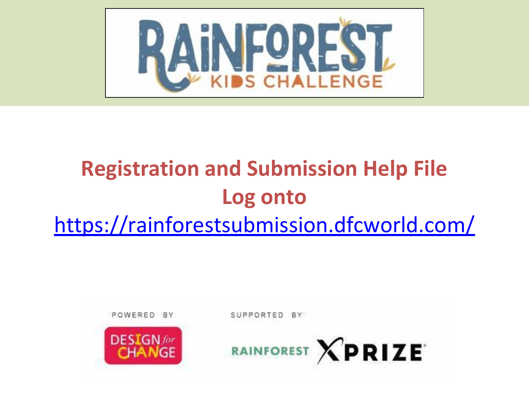

# **Registration and Submission Help File Log onto**  <https://rainforestsubmission.dfcworld.com/>

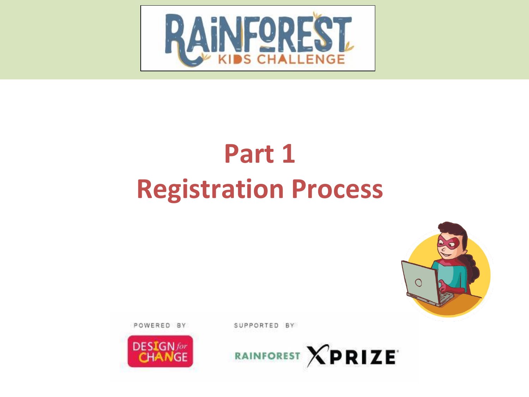



SUPPORTED BY



# **Part 1 Registration Process**

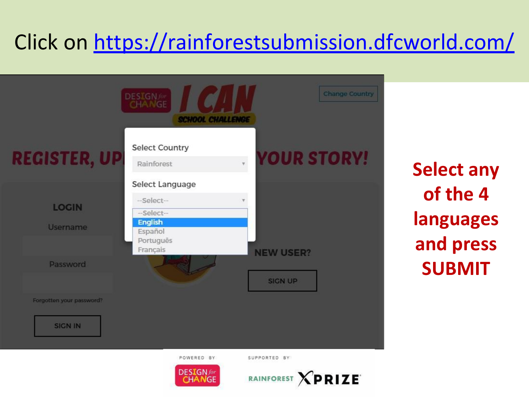# Click on<https://rainforestsubmission.dfcworld.com/>



**Select any of the 4 languages and press SUBMIT**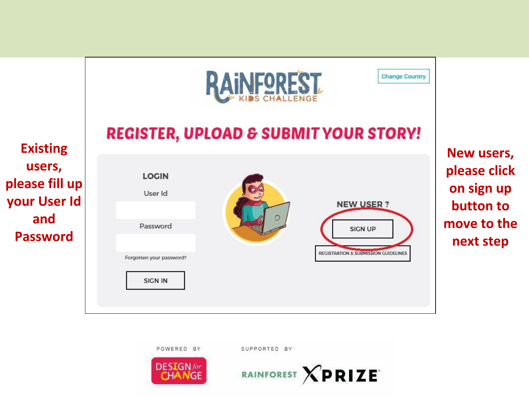![](_page_3_Figure_0.jpeg)

![](_page_3_Picture_1.jpeg)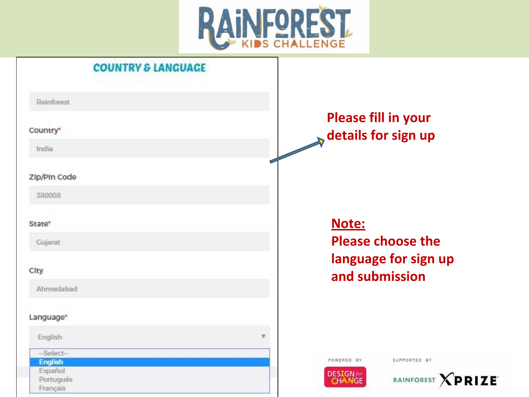![](_page_4_Picture_0.jpeg)

| <b>COUNTRY &amp; LANGUAGE</b>    |                                                                |
|----------------------------------|----------------------------------------------------------------|
| Rainforest                       |                                                                |
| Country*                         | <b>Please fill in your</b><br>details for sign up              |
| India                            |                                                                |
| Zip/Pin Code                     |                                                                |
| 380008                           |                                                                |
| State*                           | Note:                                                          |
| Gujarat                          | <b>Please choose the</b>                                       |
| City                             | language for sign up<br>and submission                         |
| Ahmedabad                        |                                                                |
| Language*                        |                                                                |
| English                          |                                                                |
| -Select--<br><b>English</b>      | POWERED BY<br>SUPPORTED BY                                     |
| Español<br>Português<br>Francais | <b>DESIGN</b> for<br>RAINFOREST <b>XPRIZE</b><br><b>CHANGE</b> |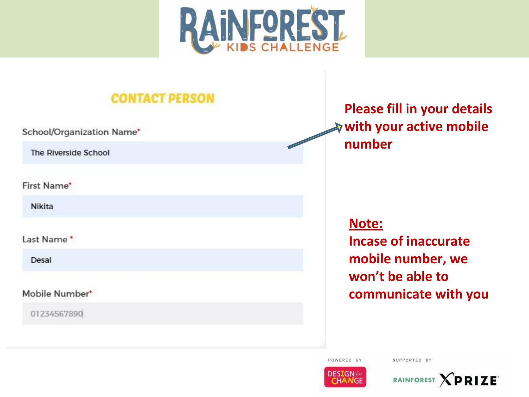![](_page_5_Picture_0.jpeg)

![](_page_5_Picture_1.jpeg)

POWERED BY

![](_page_5_Picture_4.jpeg)

![](_page_5_Picture_5.jpeg)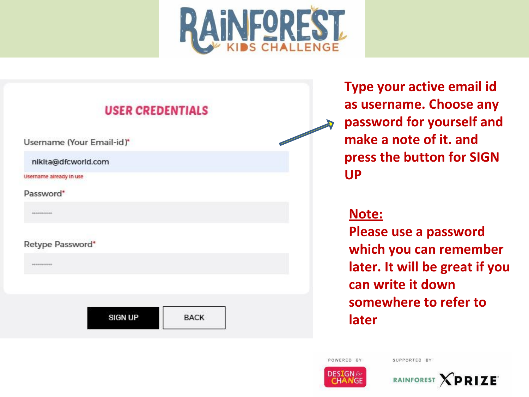![](_page_6_Picture_0.jpeg)

![](_page_6_Figure_1.jpeg)

**Type your active email id as username. Choose any password for yourself and make a note of it. and press the button for SIGN UP**

#### **Note:**

**Please use a password which you can remember later. It will be great if you can write it down somewhere to refer to later**

SUPPORTED BY

![](_page_6_Picture_5.jpeg)

POWERED BY

![](_page_6_Picture_6.jpeg)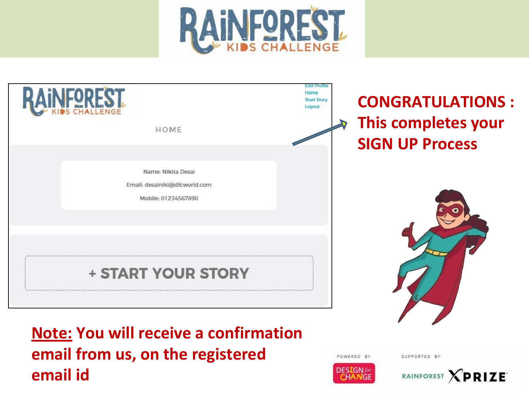![](_page_7_Picture_0.jpeg)

![](_page_7_Figure_1.jpeg)

**Note: You will receive a confirmation email from us, on the registered email id**

POWERED BY

SUPPORTED BY

![](_page_7_Picture_5.jpeg)

RAINFOREST **XPRIZE**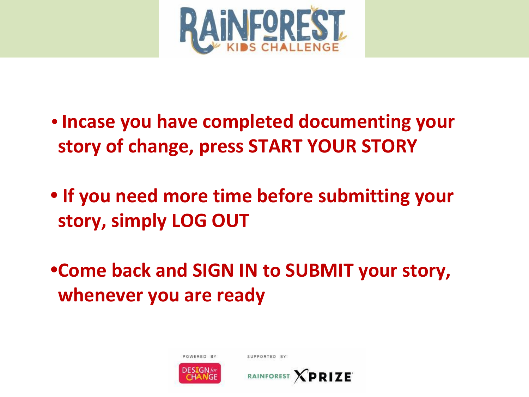![](_page_8_Picture_0.jpeg)

- **• Incase you have completed documenting your story of change, press START YOUR STORY**
- **• If you need more time before submitting your story, simply LOG OUT**
- **•Come back and SIGN IN to SUBMIT your story, whenever you are ready**

![](_page_8_Picture_4.jpeg)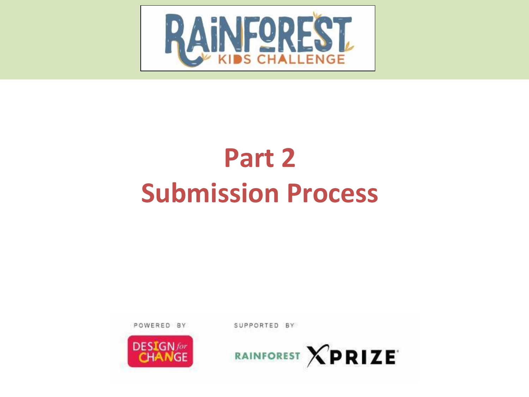![](_page_9_Picture_0.jpeg)

![](_page_9_Picture_1.jpeg)

POWERED BY

SUPPORTED BY

# **Part 2 Submission Process**

![](_page_9_Picture_5.jpeg)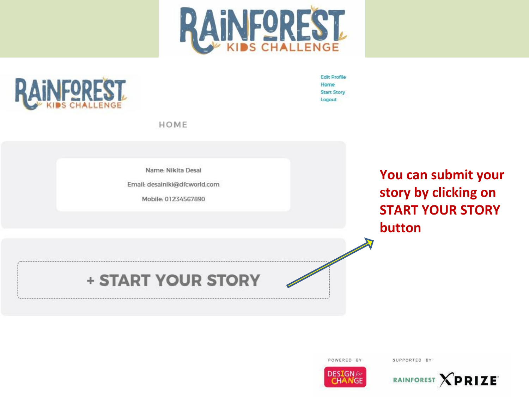![](_page_10_Picture_0.jpeg)

![](_page_10_Picture_1.jpeg)

**Edit Profile** Home **Start Story** Logout

HOME

Name: Nikita Desai

Email: desainiki@dfcworld.com

Mobile: 01234567890

You can submit your story by clicking on **START YOUR STORY** button

**+ START YOUR STORY** 

POWERED BY

![](_page_10_Picture_10.jpeg)

![](_page_10_Picture_11.jpeg)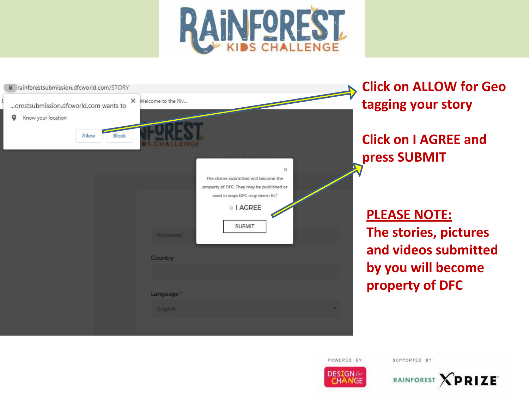![](_page_11_Picture_0.jpeg)

| rainforestsubmission.dfcworld.com/STORY<br>$\times$<br>orestsubmission.dfcworld.com wants to<br>Know your location | Welcome to the Riv                                                                                                                                                              | <b>Click on ALLOW for Geo</b><br>tagging your story |
|--------------------------------------------------------------------------------------------------------------------|---------------------------------------------------------------------------------------------------------------------------------------------------------------------------------|-----------------------------------------------------|
| <b>Block</b><br>Allow                                                                                              |                                                                                                                                                                                 | <b>Click on I AGREE and</b><br>press SUBMIT         |
|                                                                                                                    | $\mathbf{x}$<br>The stories submitted will become the<br>property of DFC. They may be published or<br>used in ways DFC may deem fit."<br>I AGREE<br><b>SUBMIT</b><br>Rainforest | <b>PLEASE NOTE:</b><br>The stories, pictures        |
|                                                                                                                    | Country                                                                                                                                                                         | and videos submitted<br>by you will become          |
|                                                                                                                    | Language."<br><b>English</b>                                                                                                                                                    | property of DFC                                     |
|                                                                                                                    |                                                                                                                                                                                 |                                                     |

![](_page_11_Picture_2.jpeg)

![](_page_11_Picture_3.jpeg)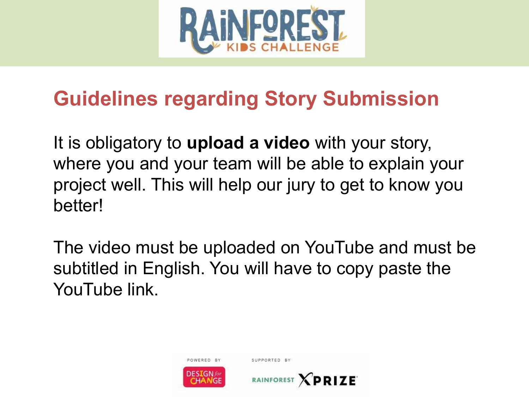![](_page_12_Picture_0.jpeg)

## **Guidelines regarding Story Submission**

It is obligatory to **upload a video** with your story, where you and your team will be able to explain your project well. This will help our jury to get to know you better!

The video must be uploaded on YouTube and must be subtitled in English. You will have to copy paste the YouTube link.

![](_page_12_Picture_4.jpeg)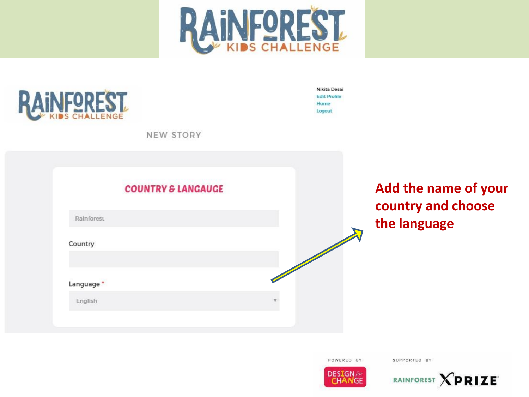![](_page_13_Picture_0.jpeg)

![](_page_13_Picture_1.jpeg)

Nikita Desai **Edit Profile** Home Logout

NEW STORY

![](_page_13_Figure_4.jpeg)

Add the name of your country and choose the language

POWERED BY

![](_page_13_Picture_8.jpeg)

![](_page_13_Picture_9.jpeg)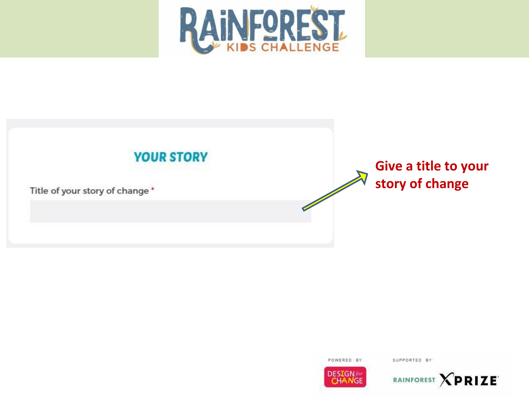![](_page_14_Picture_0.jpeg)

![](_page_14_Figure_1.jpeg)

![](_page_14_Picture_2.jpeg)

![](_page_14_Picture_4.jpeg)

![](_page_14_Picture_5.jpeg)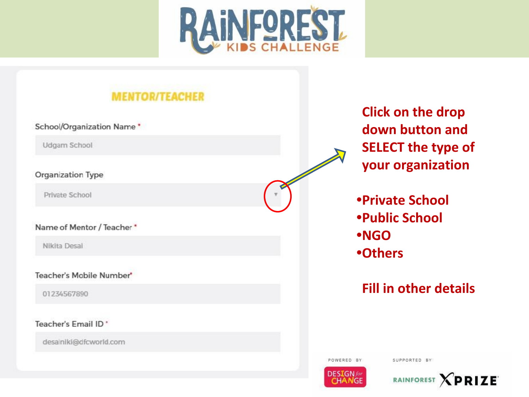![](_page_15_Picture_0.jpeg)

### **MENTOR/TEACHER**

#### School/Organization Name \*

Udgam School

#### Organization Type

Private School

#### Name of Mentor / Teacher \*

Nikita Desai

#### Teacher's Mobile Number\*

01234567890

#### Teacher's Email ID \*

desainiki@dfcworld.com

**Click on the drop** down button and **SELECT the type of** your organization

**•Private School •Public School •NGO •Others** 

### **Fill in other details**

![](_page_15_Picture_15.jpeg)

![](_page_15_Picture_17.jpeg)

![](_page_15_Picture_18.jpeg)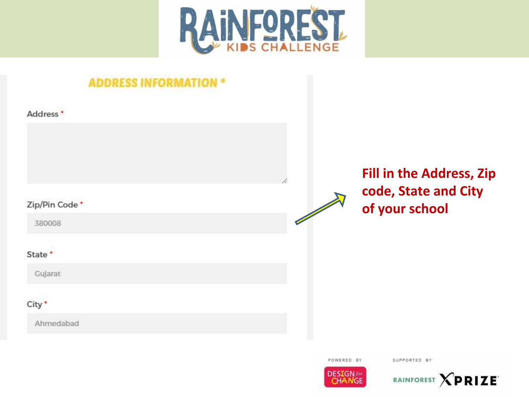![](_page_16_Picture_0.jpeg)

| ADDRESS INFORMATI        |                                                                           |
|--------------------------|---------------------------------------------------------------------------|
| Address <sup>*</sup>     |                                                                           |
| Zip/Pin Code *<br>380008 | <b>Fill in the Address, Zip</b><br>code, State and City<br>of your school |
| State *<br>Gujarat       |                                                                           |
| City *<br>Ahmedabad      |                                                                           |

![](_page_16_Picture_2.jpeg)

![](_page_16_Picture_4.jpeg)

![](_page_16_Picture_5.jpeg)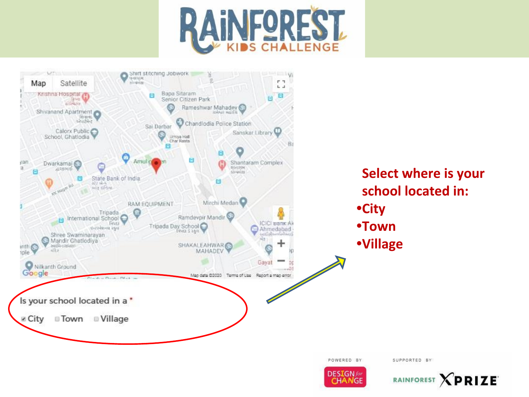![](_page_17_Picture_0.jpeg)

![](_page_17_Figure_1.jpeg)

**DESIGN** for **CHANGE** 

![](_page_17_Picture_3.jpeg)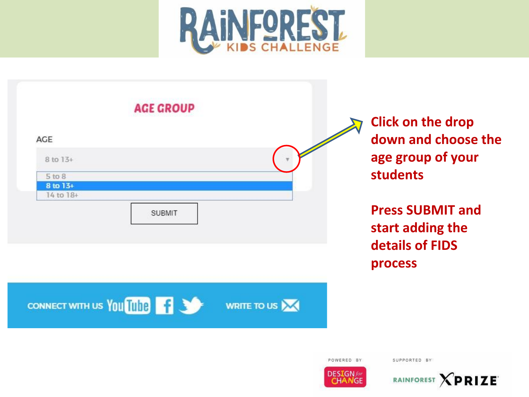![](_page_18_Picture_0.jpeg)

![](_page_18_Figure_1.jpeg)

**Click on the drop down and choose the age group of your students**

**Press SUBMIT and start adding the details of FIDS process**

POWERED BY

![](_page_18_Picture_6.jpeg)

![](_page_18_Picture_7.jpeg)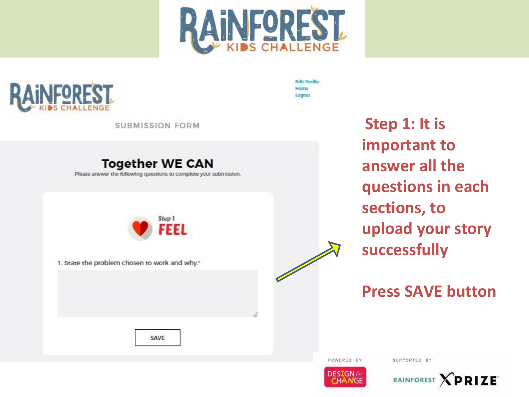![](_page_19_Picture_0.jpeg)

![](_page_19_Picture_1.jpeg)

**Edit Profile** Home Logout

**SUBMISSION FORM** 

#### **Together WE CAN**

Please answer the following questions to complete your submission.

![](_page_19_Picture_6.jpeg)

1. State the problem chosen to work and why."

Step 1: It is important to answer all the questions in each sections, to upload your story successfully

### **Press SAVE button**

SAVE

![](_page_19_Picture_11.jpeg)

![](_page_19_Picture_13.jpeg)

![](_page_19_Picture_14.jpeg)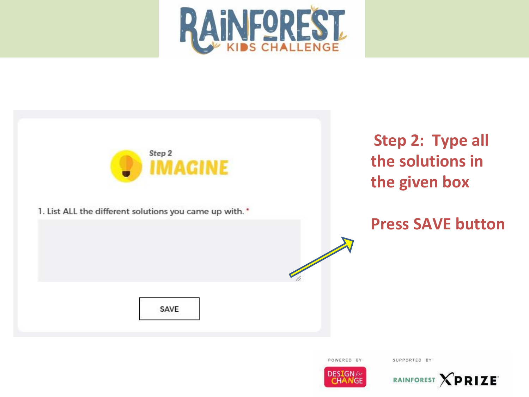![](_page_20_Picture_0.jpeg)

![](_page_20_Figure_1.jpeg)

POWERED BY

![](_page_20_Picture_4.jpeg)

![](_page_20_Picture_5.jpeg)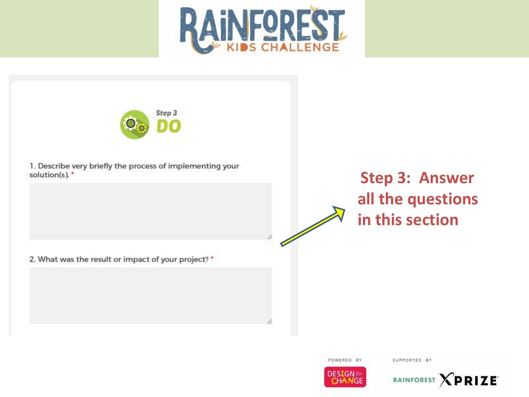![](_page_21_Picture_0.jpeg)

![](_page_21_Picture_1.jpeg)

1. Describe very briefly the process of implementing your solution(s). \*

**Step 3: Answer all the questions in this section**

2. What was the result or impact of your project? \*

![](_page_21_Picture_5.jpeg)

![](_page_21_Picture_6.jpeg)

SUPPORTED BY

POWERED BY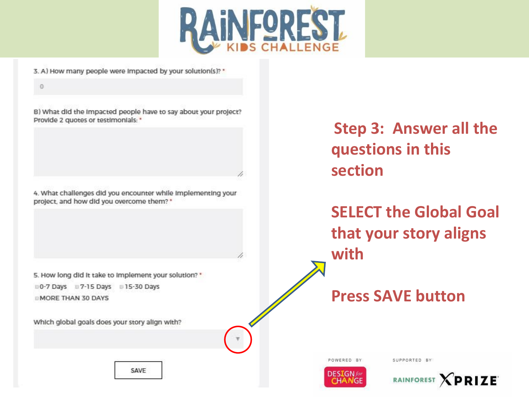![](_page_22_Picture_0.jpeg)

3. A) How many people were Impacted by your solution(s)? \*

 $\ddot{v}$ 

B) What did the impacted people have to say about your project? Provide 2 quotes or testimonials: \*

4. What challenges did you encounter while implementing your project, and how did you overcome them? \*

5. How long did it take to implement your solution? \* 0-7 Days 07-15 Days 015-30 Days **MORE THAN 30 DAYS** 

Which global goals does your story align with?

**Step 3: Answer all the questions in this section**

**SELECT the Global Goal that your story aligns with**

**Press SAVE button**

POWERED BY

SUPPORTED BY

![](_page_22_Picture_11.jpeg)

**XPRIZE RAINFOREST** 

SAVE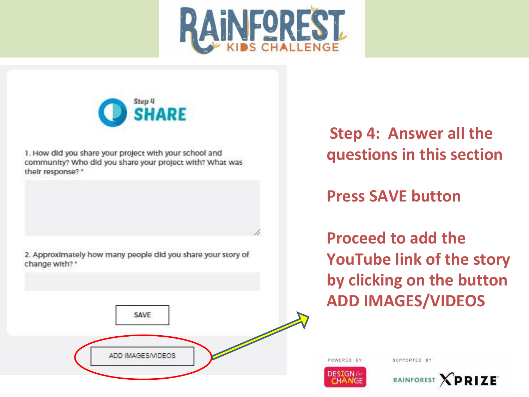![](_page_23_Picture_0.jpeg)

![](_page_23_Picture_1.jpeg)

1. How did you share your project with your school and community? Who did you share your project with? What was their response? \*

2. Approximately how many people did you share your story of change with? \*

**Step 4: Answer all the questions in this section** 

**Press SAVE button**

POWERED BY

**DESIGN** for

**Proceed to add the YouTube link of the story by clicking on the button ADD IMAGES/VIDEOS**

![](_page_23_Picture_7.jpeg)

![](_page_23_Picture_8.jpeg)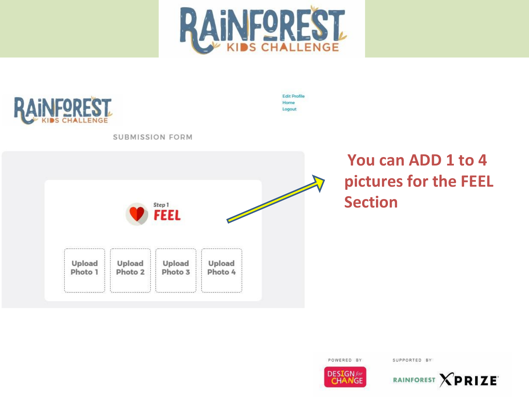![](_page_24_Picture_0.jpeg)

![](_page_24_Picture_1.jpeg)

**Edit Profile** Home Logout

**SUBMISSION FORM** 

![](_page_24_Figure_4.jpeg)

## You can ADD 1 to 4 pictures for the FEEL **Section**

POWERED BY

![](_page_24_Picture_8.jpeg)

![](_page_24_Picture_9.jpeg)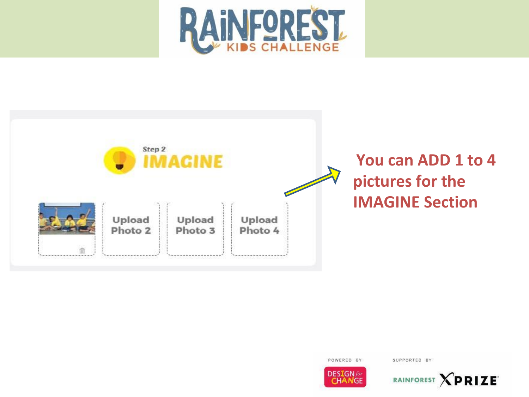![](_page_25_Picture_0.jpeg)

![](_page_25_Figure_1.jpeg)

![](_page_25_Picture_2.jpeg)

![](_page_25_Picture_4.jpeg)

![](_page_25_Picture_5.jpeg)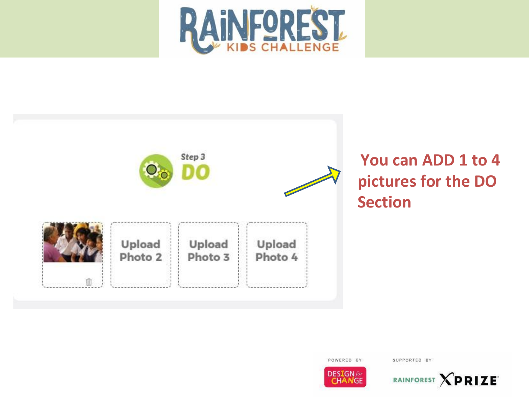![](_page_26_Picture_0.jpeg)

![](_page_26_Figure_1.jpeg)

## **You can ADD 1 to 4 pictures for the DO Section**

POWERED BY

![](_page_26_Picture_4.jpeg)

![](_page_26_Picture_5.jpeg)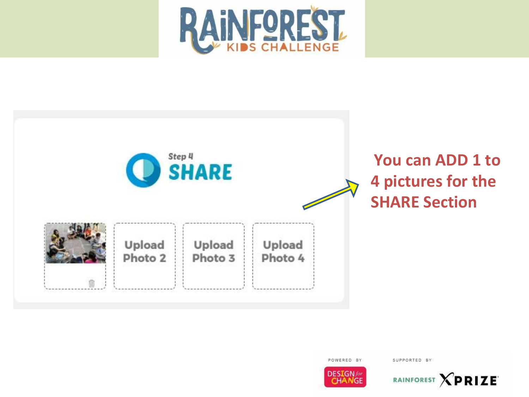![](_page_27_Picture_0.jpeg)

![](_page_27_Figure_1.jpeg)

POWERED BY

![](_page_27_Picture_4.jpeg)

![](_page_27_Picture_5.jpeg)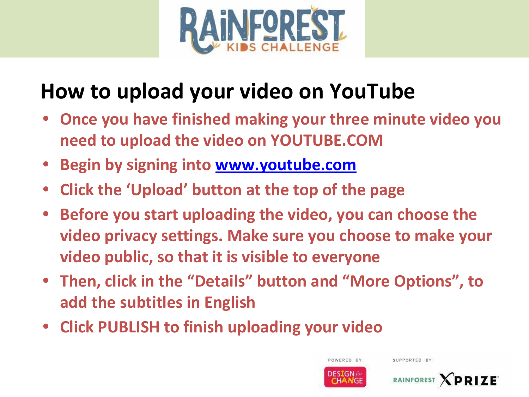![](_page_28_Picture_0.jpeg)

## **How to upload your video on YouTube**

- **• Once you have finished making your three minute video you need to upload the video on YOUTUBE.COM**
- **• Begin by signing into [www.youtube.com](http://www.youtube.com/)**
- **• Click the 'Upload' button at the top of the page**
- **• Before you start uploading the video, you can choose the video privacy settings. Make sure you choose to make your video public, so that it is visible to everyone**
- **• Then, click in the "Details" button and "More Options", to add the subtitles in English**
- **• Click PUBLISH to finish uploading your video**

![](_page_28_Picture_8.jpeg)

POWERED BY

**RAINFOREST**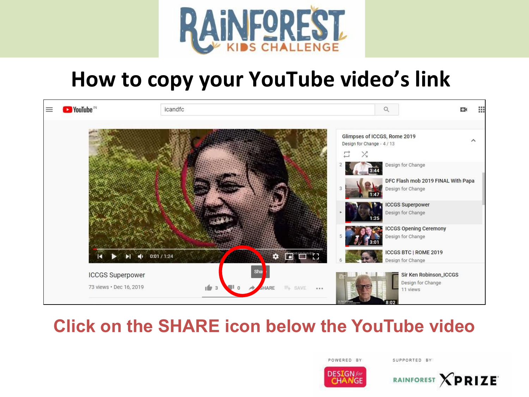![](_page_29_Picture_0.jpeg)

## **How to copy your YouTube video's link**

![](_page_29_Picture_2.jpeg)

## **Click on the SHARE icon below the YouTube video**

POWERED BY

![](_page_29_Picture_6.jpeg)

![](_page_29_Picture_7.jpeg)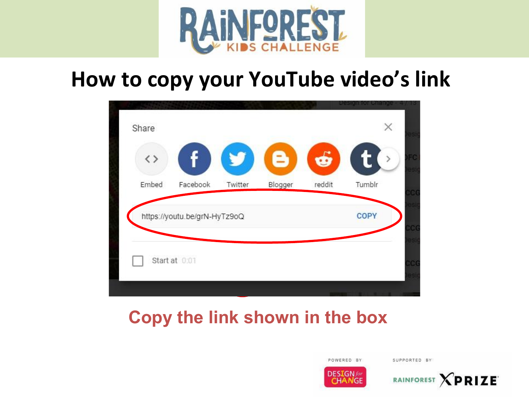![](_page_30_Picture_0.jpeg)

## **How to copy your YouTube video's link**

| $\langle$ $\rangle$ |                              |         | В       | $\vec{b}$ | t<br>$\rightarrow$ |
|---------------------|------------------------------|---------|---------|-----------|--------------------|
| Embed               | Facebook                     | Twitter | Blogger | reddit    | Tumblr             |
|                     | https://youtu.be/grN-HyTz9oQ |         |         |           | COPY               |
|                     |                              |         |         |           |                    |

## **Copy the link shown in the box**

![](_page_30_Picture_4.jpeg)

![](_page_30_Picture_6.jpeg)

![](_page_30_Picture_7.jpeg)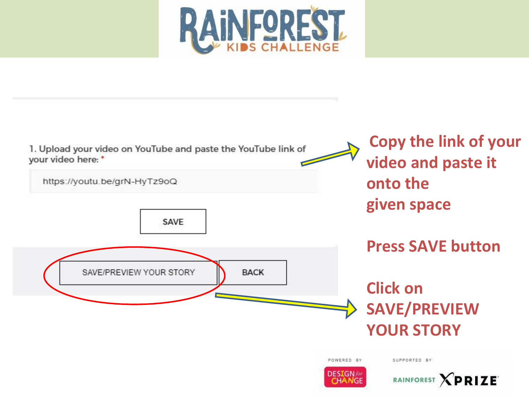![](_page_31_Picture_0.jpeg)

![](_page_31_Figure_1.jpeg)

![](_page_31_Picture_2.jpeg)

RAINFOREST **XPRIZE**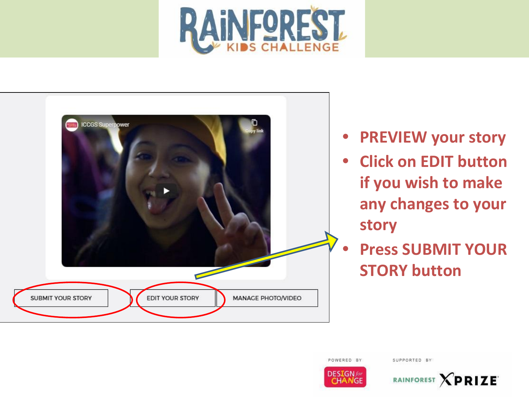![](_page_32_Picture_0.jpeg)

![](_page_32_Picture_1.jpeg)

- **• PREVIEW your story**
- **• Click on EDIT button if you wish to make any changes to your story**
- **• Press SUBMIT YOUR STORY button**

POWERED BY

![](_page_32_Picture_7.jpeg)

![](_page_32_Picture_8.jpeg)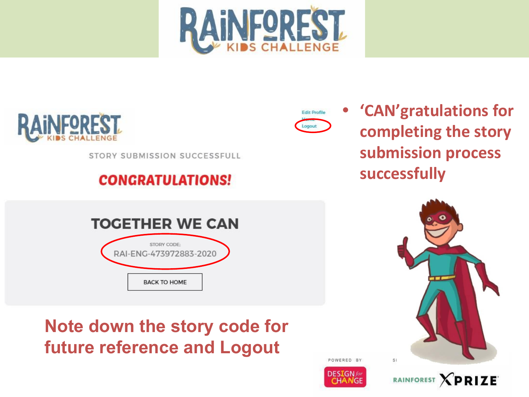![](_page_33_Picture_0.jpeg)

![](_page_33_Picture_1.jpeg)

STORY SUBMISSION SUCCESSFULL

### **CONGRATULATIONS!**

**TOGETHER WE CAN** 

STORY CODE: RAI-ENG-473972883-2020

**BACK TO HOME** 

![](_page_33_Picture_4.jpeg)

**• 'CAN'gratulations for completing the story submission process successfully** 

![](_page_33_Picture_6.jpeg)

## **Note down the story code for future reference and Logout**

![](_page_33_Picture_8.jpeg)

![](_page_33_Picture_9.jpeg)